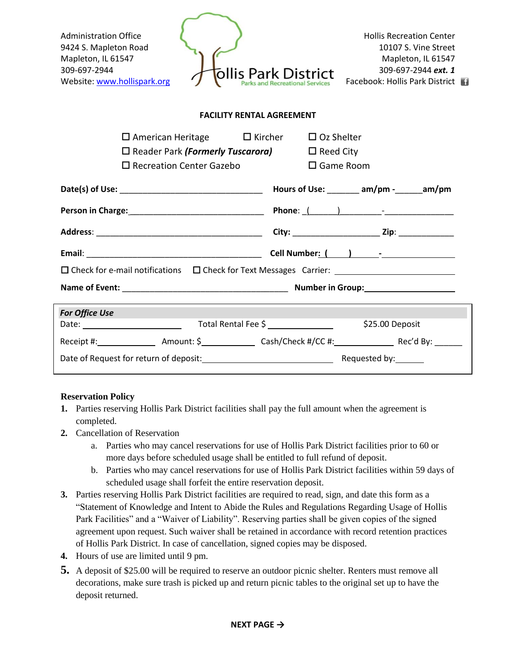| <b>Administration Office</b><br>9424 S. Mapleton Road<br>Mapleton, IL 61547<br>309-697-2944<br>Website: www.hollispark.org | <b>Hollis Recreation Center</b><br>10107 S. Vine Street<br>Mapleton, IL 61547<br>309-697-2944 ext. 1<br><b>Park District</b><br>Facebook: Hollis Park District |
|----------------------------------------------------------------------------------------------------------------------------|----------------------------------------------------------------------------------------------------------------------------------------------------------------|
| <b>FACILITY RENTAL AGREEMENT</b>                                                                                           |                                                                                                                                                                |
| $\square$ American Heritage $\square$ Kircher                                                                              | $\Box$ Oz Shelter                                                                                                                                              |
| $\square$ Reader Park (Formerly Tuscarora)                                                                                 | $\Box$ Reed City                                                                                                                                               |
| $\Box$ Recreation Center Gazebo                                                                                            | $\square$ Game Room                                                                                                                                            |
|                                                                                                                            |                                                                                                                                                                |
|                                                                                                                            |                                                                                                                                                                |
|                                                                                                                            |                                                                                                                                                                |
|                                                                                                                            |                                                                                                                                                                |
| $\Box$ Check for e-mail notifications $\Box$ Check for Text Messages Carrier: $\Box$                                       |                                                                                                                                                                |
|                                                                                                                            |                                                                                                                                                                |
| <b>For Office Use</b>                                                                                                      |                                                                                                                                                                |
|                                                                                                                            | \$25.00 Deposit                                                                                                                                                |
|                                                                                                                            |                                                                                                                                                                |
|                                                                                                                            |                                                                                                                                                                |

## **Reservation Policy**

- **1.** Parties reserving Hollis Park District facilities shall pay the full amount when the agreement is completed.
- **2.** Cancellation of Reservation
	- a. Parties who may cancel reservations for use of Hollis Park District facilities prior to 60 or more days before scheduled usage shall be entitled to full refund of deposit.
	- b. Parties who may cancel reservations for use of Hollis Park District facilities within 59 days of scheduled usage shall forfeit the entire reservation deposit.
- **3.** Parties reserving Hollis Park District facilities are required to read, sign, and date this form as a "Statement of Knowledge and Intent to Abide the Rules and Regulations Regarding Usage of Hollis Park Facilities" and a "Waiver of Liability". Reserving parties shall be given copies of the signed agreement upon request. Such waiver shall be retained in accordance with record retention practices of Hollis Park District. In case of cancellation, signed copies may be disposed.
- **4.** Hours of use are limited until 9 pm.
- **5.** A deposit of \$25.00 will be required to reserve an outdoor picnic shelter. Renters must remove all decorations, make sure trash is picked up and return picnic tables to the original set up to have the deposit returned.